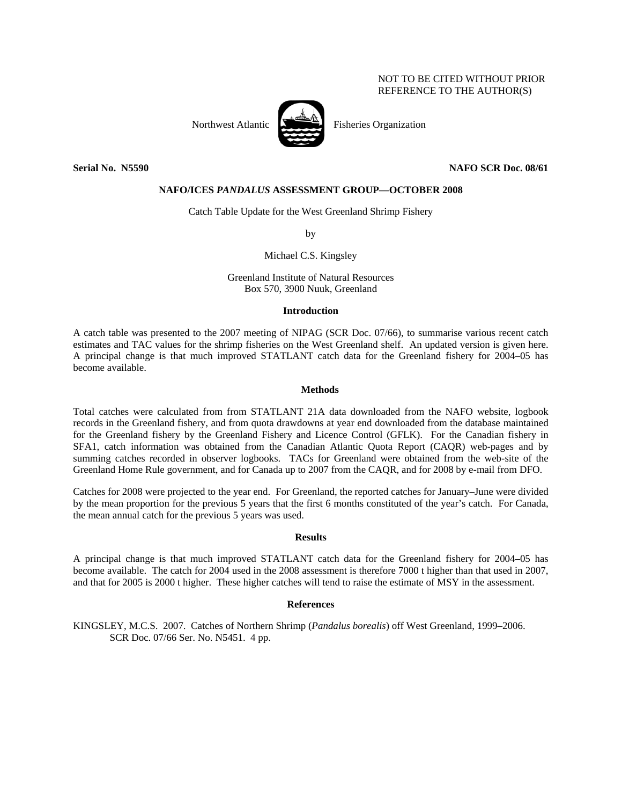# NOT TO BE CITED WITHOUT PRIOR REFERENCE TO THE AUTHOR(S)



## **Serial No. N5590 NAFO SCR Doc. 08/61**

### **NAFO/ICES** *PANDALUS* **ASSESSMENT GROUP—OCTOBER 2008**

Catch Table Update for the West Greenland Shrimp Fishery

by

Michael C.S. Kingsley

Greenland Institute of Natural Resources Box 570, 3900 Nuuk, Greenland

#### **Introduction**

A catch table was presented to the 2007 meeting of NIPAG (SCR Doc. 07/66), to summarise various recent catch estimates and TAC values for the shrimp fisheries on the West Greenland shelf. An updated version is given here. A principal change is that much improved STATLANT catch data for the Greenland fishery for 2004–05 has become available.

#### **Methods**

Total catches were calculated from from STATLANT 21A data downloaded from the NAFO website, logbook records in the Greenland fishery, and from quota drawdowns at year end downloaded from the database maintained for the Greenland fishery by the Greenland Fishery and Licence Control (GFLK). For the Canadian fishery in SFA1, catch information was obtained from the Canadian Atlantic Quota Report (CAQR) web-pages and by summing catches recorded in observer logbooks. TACs for Greenland were obtained from the web-site of the Greenland Home Rule government, and for Canada up to 2007 from the CAQR, and for 2008 by e-mail from DFO.

Catches for 2008 were projected to the year end. For Greenland, the reported catches for January–June were divided by the mean proportion for the previous 5 years that the first 6 months constituted of the year's catch. For Canada, the mean annual catch for the previous 5 years was used.

## **Results**

A principal change is that much improved STATLANT catch data for the Greenland fishery for 2004–05 has become available. The catch for 2004 used in the 2008 assessment is therefore 7000 t higher than that used in 2007, and that for 2005 is 2000 t higher. These higher catches will tend to raise the estimate of MSY in the assessment.

### **References**

KINGSLEY, M.C.S. 2007. Catches of Northern Shrimp (*Pandalus borealis*) off West Greenland, 1999–2006. SCR Doc. 07/66 Ser. No. N5451. 4 pp.